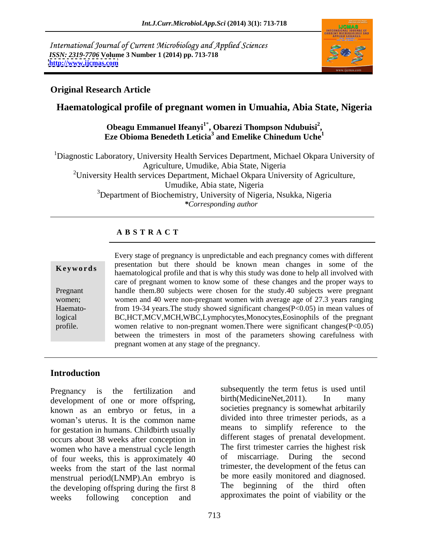International Journal of Current Microbiology and Applied Sciences *ISSN: 2319-7706* **Volume 3 Number 1 (2014) pp. 713-718 <http://www.ijcmas.com>**



### **Original Research Article**

## **Haematological profile of pregnant women in Umuahia, Abia State, Nigeria**

**Obeagu Emmanuel Ifeanyi<sup>1</sup>**\* **, Obarezi Thompson Ndubuisi<sup>2</sup>** Obeagu Emmanuel Ifeanyi<sup>1</sup><sup>\*</sup>, Obarezi Thompson Ndubuisi<sup>2</sup>,<br>Eze Obioma Benedeth Leticia<sup>3</sup> and Emelike Chinedum Uche<sup>1</sup>

<sup>1</sup>Diagnostic Laboratory, University Health Services Department, Michael Okpara University of Agriculture, Umudike, Abia State, Nigeria <sup>2</sup>University Health services Department, Michael Okpara University of Agriculture, Umudike, Abia state, Nigeria <sup>3</sup>Department of Biochemistry, University of Nigeria, Nsukka, Nigeria *\*Corresponding author* 

#### **A B S T R A C T**

Haemato-

**Keywords** haematological profile and that is why this study was done to help all involved with Pregnant handle them.80 subjects were chosen for the study.40 subjects were pregnant women; women and 40 were non-pregnant women with average age of 27.3 years ranging logical BC,HCT,MCV,MCH,WBC,Lymphocytes,Monocytes,Eosinophils of the pregnant profile. women relative to non-pregnant women.There were significant changes(P<0.05) Every stage of pregnancy is unpredictable and each pregnancy comes with different presentation but there should be known mean changes in some of the care of pregnant women to know some of these changes and the proper ways to from 19-34 years.The study showed significant changes(P<0.05) in mean values of between the trimesters in most of the parameters showing carefulness with pregnant women at any stage of the pregnancy.

### **Introduction**

development of one or more offspring, birth(MedicineNet,2011). In many known as an embryo or fetus, in a woman's uterus. It is the common name for gestation in humans. Childbirth usually occurs about 38 weeks after conception in women who have a menstrual cycle length The<br>of four weeks this is approximately 40 of of four weeks, this is approximately 40 weeks from the start of the last normal menstrual period(LNMP).An embryo is the developing offspring during the first 8 weeks following conception and approximates the point of viability or the

Pregnancy is the fertilization and subsequently the term fetus is used until birth(MedicineNet,2011). In many societies pregnancy is somewhat arbitarily divided into three trimester periods, as a means to simplify reference to the different stages of prenatal development. The first trimester carries the highest risk miscarriage. During the second trimester, the development of the fetus can be more easily monitored and diagnosed. The beginning of the third often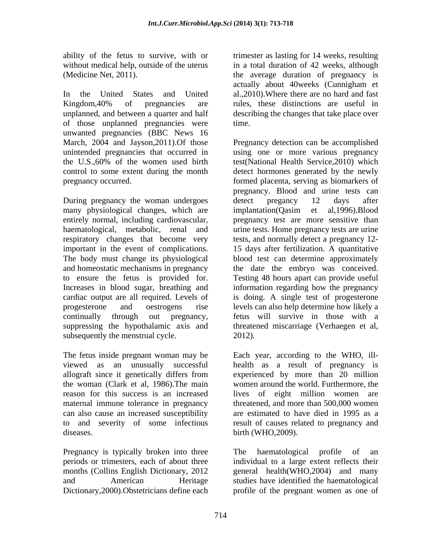In the United States and United al.,2010).Where there are no hard and fast Kingdom, 40% of pregnancies are rules, these distinctions are useful in unplanned, and between a quarter and half describing the changes that take place over of those unplanned pregnancies were unwanted pregnancies (BBC News 16

During pregnancy the woman undergoes detect pregancy 12 days after many physiological changes, which are implantation (Qasimetric al, 1996). Blood cardiac output are all required. Levels of subsequently the menstrual cycle. 2012).

allograft since it genetically differs from the woman (Clark et al, 1986).The main can also cause an increased susceptibility diseases. birth (WHO,2009).

Pregnancy is typically broken into three The haematological profile of an months (Collins English Dictionary, 2012

ability of the fetus to survive, with or trimester as lasting for 14 weeks, resulting without medical help, outside of the uterus in a total duration of 42 weeks, although (Medicine Net, 2011). the average duration of pregnancy is actually about 40weeks (Cunnigham et rules, these distinctions are useful in time.

March, 2004 and Jayson,2011).Of those Pregnancy detection can be accomplished unintended pregnancies that occurred in using one or more various pregnancy the U.S.,60% of the women used birth test(National Health Service,2010) which control to some extent during the month detect hormones generated by the newly pregnancy occurred. formed placenta, serving as biomarkers of entirely normal, including cardiovascular, pregnancy test are more sensitive than haematological, metabolic, renal and urine tests. Home pregnancy tests are urine respiratory changes that become very tests, and normally detect a pregnancy 12 important in the event of complications. 15 days after fertilization. A quantitative The body must change its physiological blood test can determine approximately and homeostatic mechanisms in pregnancy the date the embryo was conceived. to ensure the fetus is provided for. Testing 48 hours apart can provide useful Increases in blood sugar, breathing and information regarding how the pregnancy progesterone and oestrogens rise levels can also help determine how likely a continually through out pregnancy, fetus will survive in those with a suppressing the hypothalamic axis and threatened miscarriage (Verhaegen et al, pregnancy. Blood and urine tests can detect pregancy 12 days after implantation(Qasim et al,1996).Blood is doing. A single test of progesterone 2012).

The fetus inside pregnant woman may be Each year, according to the WHO, ill viewed as an unusually successful health as a result of pregnancy is reason for this success is an increased lives of eight million women are maternal immune tolerance in pregnancy threatened, and more than 500,000 women to and severity of some infectious result of causes related to pregnancy and experienced by more than 20 million women around the world. Furthermore, the are estimated to have died in 1995 as a birth (WHO,2009).

periods or trimesters, each of about three individual to a large extent reflects their and American Heritage studies have identified the haematological Dictionary,2000).Obstetricians define each profile of the pregnant women as one ofhaematological profile of general health(WHO,2004) and many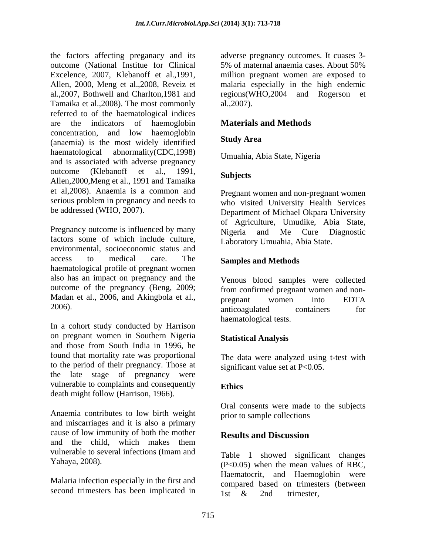the factors affecting preganacy and its outcome (National Institue for Clinical 5% of maternal anaemia cases. About 50% Excelence, 2007, Klebanoff et al.,1991, million pregnant women are exposed to Allen, 2000, Meng et al.,2008, Reveiz et malaria especially in the high endemic al.,2007, Bothwell and Charlton,1981 and regions(WHO,2004 and Rogerson et Tamaika et al., 2008). The most commonly al., 2007). referred to of the haematological indices are the indicators of haemoglobin **Materials and Methods** concentration, and low haemoglobin<br>(appears) is the most widely identified Study Area (anaemia) is the most widely identified haematological abnormality(CDC,1998) and is associated with adverse pregnancy outcome (Klebanoff et al., 1991, Allen,2000,Meng et al., 1991 and Tamaika et al,2008). Anaemia is a common and serious problem in pregnancy and needs to

Pregnancy outcome is influenced by many Nigeria factors some of which include culture, environmental, socioeconomic status and access to medical care. The **Samples and Methods** haematological profile of pregnant women also has an impact on pregnancy and the outcome of the pregnancy (Beng, 2009; Madan et al., 2006, and Akingbola et al., The example of pregnant women into EDTA

In a cohort study conducted by Harrison on pregnant women in Southern Nigeria and those from South India in 1996, he found that mortality rate was proportional to the period of their pregnancy. Those at the late stage of pregnancy were vulnerable to complaints and consequently **Ethics** death might follow (Harrison, 1966).

Anaemia contributes to low birth weight and miscarriages and it is also a primary cause of low immunity of both the mother<br>Results and Discussion and the child, which makes them vulnerable to several infections (Imam and Table 1 showed significant changes

Malaria infection especially in the first and compared based on trimesters (between second trimesters has been implicated in  $\frac{1}{1}$  second trimester.

adverse pregnancy outcomes. It cuases 3 al.,2007).

# **Materials and Methods**

#### **Study Area**

Umuahia, Abia State, Nigeria

#### **Subjects**

be addressed (WHO, 2007). Department of Michael Okpara University Pregnant women and non-pregnant women who visited University Health Services of Agriculture, Umudike, Abia State, and Me Cure Diagnostic Laboratory Umuahia, Abia State.

#### **Samples and Methods**

2006). The anticoagulated containers for Venous blood samples were collected from confirmed pregnant women and non pregnant women into EDTA anticoagulated containers for haematological tests.

### **Statistical Analysis**

The data were analyzed using t-test with significant value set at P<0.05.

### **Ethics**

Oral consents were made to the subjects prior to sample collections

#### **Results and Discussion**

Yahaya, 2008).  $(P<0.05)$  when the mean values of RBC, Table 1 showed significant changes Haematocrit, and Haemoglobin were compared based on trimesters (between 1st & 2nd trimester,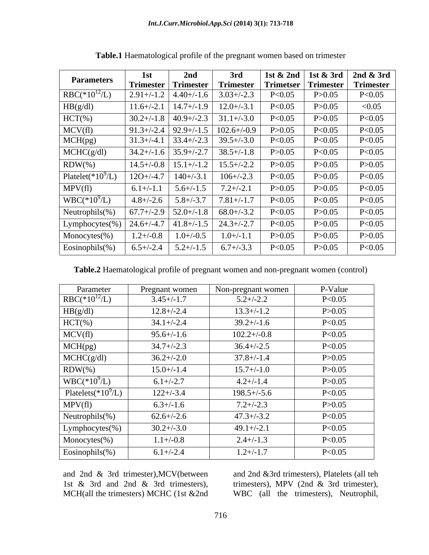| <b>Parameters</b>     | 1st<br>Trimester | 2 <sub>nd</sub><br>Trimester | 3rd<br><b>Trimester</b> | 1st & 2nd   1st & 3rd<br><b>Trimetser</b> | <b>Trimester</b> | $2nd \& 3rd$<br><b>Trimester</b> |
|-----------------------|------------------|------------------------------|-------------------------|-------------------------------------------|------------------|----------------------------------|
| $RBC(*10^{12}/L)$     | $2.91 + (-1.2)$  | $4.40+/-1.6$                 | $3.03 + (-2.3)$         | P < 0.05                                  | P > 0.05         | P<0.05                           |
| HB(g/dl)              | $11.6 + (-2.1)$  | $14.7 + (-1.9)$              | $12.0 + (-3.1$          | P<0.05                                    | P > 0.05         | < 0.05                           |
| $HCT(\% )$            | $30.2 + (-1.8)$  | $40.9 + (-2.3)$              | $31.1 + (-3.0)$         | P<0.05                                    | P > 0.05         | P<0.05                           |
| MCV(f)                | $91.3 + (-2.4)$  | $92.9 + (-1.5)$              | $102.6 + (-0.9)$        | P > 0.05                                  | P<0.05           | P<0.05                           |
| MCH(pg)               | $31.3+/-4.1$     | $33.4+/-2.3$                 | $39.5 + (-3.0)$         | P<0.05                                    | P<0.05           | P<0.05                           |
| MCHC(g/dl)            | $34.2+/-1.6$     | $35.9 + (-2.7)$              | $38.5 + (-1.8)$         | P > 0.05                                  | P<0.05           | P<0.05                           |
| $RDW(\% )$            | $14.5 + (-0.8)$  | $15.1 + (-1.2)$              | $15.5 + (-2.2)$         | P > 0.05                                  | P > 0.05         | P > 0.05                         |
| Platelet(* $10^9$ /L) | $12O+/-4.7$      | $140 + (-3.1)$               | $106 + (-2.3)$          | P<0.05                                    | P > 0.05         | P<0.05                           |
| MPV(f)                | $6.1 +/-1.1$     | $5.6 + / -1.5$               | $7.2 + (-2.1)$          | P > 0.05                                  | P > 0.05         | P<0.05                           |
| $WBC(*109/L)$         | $4.8 + (-2.6)$   | $5.8 + (-3.7)$               | $7.81 + (-1.7)$         | P < 0.05                                  | P<0.05           | P<0.05                           |
| Neutrophils(%)        | $67.7 + (-2.9)$  | $52.0 + (-1.8)$              | $68.0 + (-3.2)$         | P<0.05                                    | P > 0.05         | P<0.05                           |
| Lymphocytes(%)        | $24.6 + (-4.7)$  | $41.8 + (-1.5)$              | $24.3 + (-2.7)$         | P<0.05                                    | P > 0.05         | P<0.05                           |
| Monocytes(%)          | $1.2 + (-0.8)$   | $1.0 + (-0.5)$               | $1.0 + (-1.1)$          | P > 0.05                                  | P > 0.05         | P > 0.05                         |
| Eosinophils $(\%)$    | $6.5 + (-2.4)$   | $5.2 + / -1.5$               | $6.7 + (-3.3)$          | P<0.05                                    | P > 0.05         | P<0.05                           |

**Table.1** Haematological profile of the pregnant women based on trimester

**Table.2** Haematological profile of pregnant women and non-pregnant women (control)

| Parameter                  | Pregnant women  | Non-pregnant women | P-Value  |
|----------------------------|-----------------|--------------------|----------|
| $RBC(*10^{12}/L)$          | $3.45+/-1.7$    | $5.2 + (-2.2)$     | P<0.05   |
| H B(g/dl)                  | $12.8 + (-2.4)$ | $13.3+/-1.2$       | P > 0.05 |
| $HCT(\% )$                 | $34.1 + (-2.4)$ | $39.2 + (-1.6)$    | P<0.05   |
| MCV(f)                     | $95.6 + (-1.6)$ | $102.2 + (-0.8)$   | P<0.05   |
| MCH(pg)                    | $34.7 + (-2.3)$ | $36.4 + (-2.5)$    | P<0.05   |
| MCHC(g/dl)                 | $36.2 + (-2.0)$ | $37.8 + (-1.4)$    | P > 0.05 |
| $RDW(\%)$                  | $15.0 + (-1.4)$ | $15.7 + (-1.0)$    | P > 0.05 |
| $WBC(*10^9/L)$             | $6.1 + (-2.7)$  | $4.2 + (-1.4)$     | P > 0.05 |
| Platelets( $*10^9$ /L)     | $122+/-3.4$     | $198.5 + (-5.6)$   | P<0.05   |
| MPV(f)                     | $6.3 + (-1.6)$  | $7.2 + (-2.3)$     | P > 0.05 |
| Neutrophils(%)             | $62.6 + (-2.6)$ | $47.3 + (-3.2)$    | P<0.05   |
| Lymphocytes(%)             | $30.2 + (-3.0)$ | $49.1 + (-2.1)$    | P<0.05   |
| Monocytes(%)               | $1.1 + (-0.8)$  | $2.4 + (-1.3)$     | P<0.05   |
| $\mathsf{Eosinophils}(\%)$ | $6.1 + (-2.4)$  | $1.2 + (-1.7)$     | P<0.05   |

and 2nd & 3rd trimester),MCV(between and 2nd &3rd trimesters), Platelets (all teh 1st & 3rd and 2nd & 3rd trimesters), trimesters), MPV (2nd & 3rd trimester), MCH(all the trimesters) MCHC (1st &2nd WBC (all the trimesters), Neutrophil,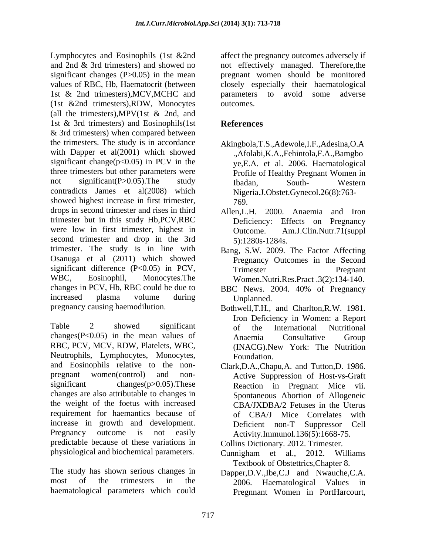Lymphocytes and Eosinophils (1st &2nd affect the pregnancy outcomes adversely if and 2nd & 3rd trimesters) and showed no not effectively managed. Therefore,the significant changes  $(P>0.05)$  in the mean values of RBC, Hb, Haematocrit (between closely especially their haematological 1st & 2nd trimesters), MCV, MCHC and parameters to avoid some adverse (1st &2nd trimesters),RDW, Monocytes (all the trimesters), MPV(1st  $& 2nd$ , and 1st & 3rd trimesters) and Eosinophils(1st & 3rd trimesters) when compared between the trimesters. The study is in accordance with Dapper et al(2001) which showed significant change(p<0.05) in PCV in the ye,E.A. et al. 2006. Haematological three trimesters but other parameters were not significant(P>0.05). The study Ibadan, South- Western contradicts James et al(2008) which showed highest increase in first trimester,  $769$ drops in second trimester and rises in third trimester but in this study Hb,PCV,RBC were low in first trimester, highest in second trimester and drop in the 3rd trimester. The study is in line with Bang, S.W. 2009. The Factor Affecting Osanuga et al (2011) which showed significant difference (P<0.05) in PCV, Trimester Trimester Pregnant WBC, Eosinophil, Monocytes.The Women.Nutri.Res.Pract .3(2):134-140. changes in PCV, Hb, RBC could be due to increased plasma volume during

Table 2 showed significant of the International Nutritional changes(P<0.05) in the mean values of RBC, PCV, MCV, RDW, Platelets, WBC, Neutrophils, Lymphocytes, Monocytes, Foundation. and Eosinophils relative to the non- Clark,D.A.,Chapu,A. and Tutton,D. 1986. pregnant women(control) and non- Active Suppression of Host-vs-Graft significant changes(p>0.05).These Reaction in Pregnant Mice vii. changes are also attributable to changes in the weight of the foetus with increased requirement for haemantics because of increase in growth and development. Pregnancy outcome is not easily Activity.Immunol.136(5):1668-75. predictable because of these variations in

The study has shown serious changes in Dapper,D.V.,Ibe,C.J and Nwauche,C.A. most of the trimesters in the 2006. Haematological Values in haematological parameters which could

pregnant women should be monitored parameters to avoid some adverse outcomes.

# **References**

- Akingbola,T.S.,Adewole,I.F.,Adesina,O.A .,Afolabi,K.A.,Fehintola,F.A.,Bamgbo Profile of Healthy Pregnant Women in Ibadan, South- Western Nigeria.J.Obstet.Gynecol.26(8):763- 769.
- Allen,L.H. 2000. Anaemia and Iron Deficiency: Effects on Pregnancy Am.J.Clin.Nutr.71(suppl 5):1280s-1284s.
- Pregnancy Outcomes in the Second Trimester Pregnant
- BBC News. 2004. 40% of Pregnancy Unplanned.
- pregnancy causing haemodilution. Bothwell,T.H., and Charlton,R.W. 1981. Iron Deficiency in Women: a Report of the International Nutritional Anaemia Consultative Group (INACG).New York: The Nutrition Foundation.
	- Spontaneous Abortion of Allogeneic CBA/JXDBA/2 Fetuses in the Uterus of CBA/J Mice Correlates with Deficient non-T Suppressor Cell
	- Collins Dictionary. 2012. Trimester.
- physiological and biochemical parameters. Cunnigham et al., 2012. Williams Textbook of Obstettrics,Chapter 8.
	- Pregnnant Women in PortHarcourt,